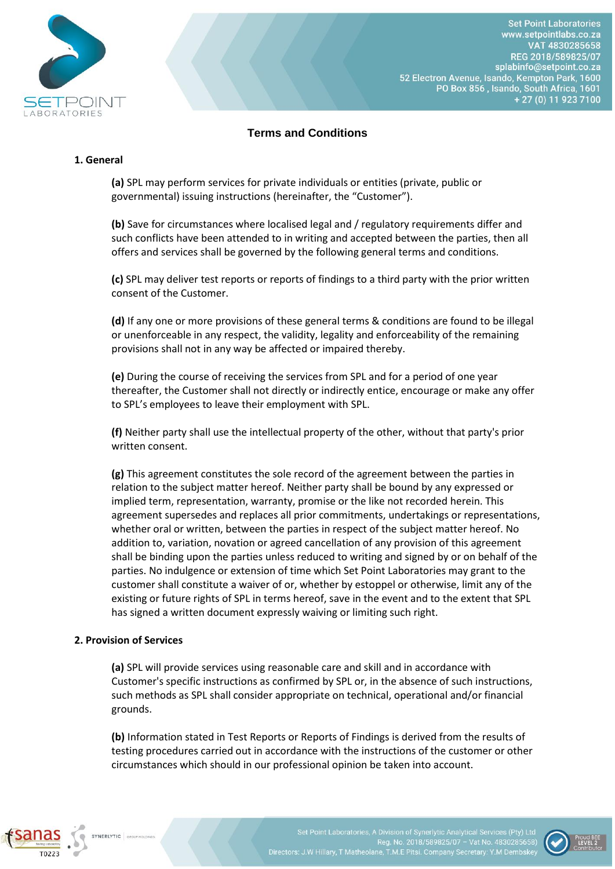

# **Terms and Conditions**

#### **1. General**

**(a)** SPL may perform services for private individuals or entities (private, public or governmental) issuing instructions (hereinafter, the "Customer").

**(b)** Save for circumstances where localised legal and / regulatory requirements differ and such conflicts have been attended to in writing and accepted between the parties, then all offers and services shall be governed by the following general terms and conditions.

**(c)** SPL may deliver test reports or reports of findings to a third party with the prior written consent of the Customer.

**(d)** If any one or more provisions of these general terms & conditions are found to be illegal or unenforceable in any respect, the validity, legality and enforceability of the remaining provisions shall not in any way be affected or impaired thereby.

**(e)** During the course of receiving the services from SPL and for a period of one year thereafter, the Customer shall not directly or indirectly entice, encourage or make any offer to SPL's employees to leave their employment with SPL.

**(f)** Neither party shall use the intellectual property of the other, without that party's prior written consent.

**(g)** This agreement constitutes the sole record of the agreement between the parties in relation to the subject matter hereof. Neither party shall be bound by any expressed or implied term, representation, warranty, promise or the like not recorded herein. This agreement supersedes and replaces all prior commitments, undertakings or representations, whether oral or written, between the parties in respect of the subject matter hereof. No addition to, variation, novation or agreed cancellation of any provision of this agreement shall be binding upon the parties unless reduced to writing and signed by or on behalf of the parties. No indulgence or extension of time which Set Point Laboratories may grant to the customer shall constitute a waiver of or, whether by estoppel or otherwise, limit any of the existing or future rights of SPL in terms hereof, save in the event and to the extent that SPL has signed a written document expressly waiving or limiting such right.

#### **2. Provision of Services**

**(a)** SPL will provide services using reasonable care and skill and in accordance with Customer's specific instructions as confirmed by SPL or, in the absence of such instructions, such methods as SPL shall consider appropriate on technical, operational and/or financial grounds.

**(b)** Information stated in Test Reports or Reports of Findings is derived from the results of testing procedures carried out in accordance with the instructions of the customer or other circumstances which should in our professional opinion be taken into account.



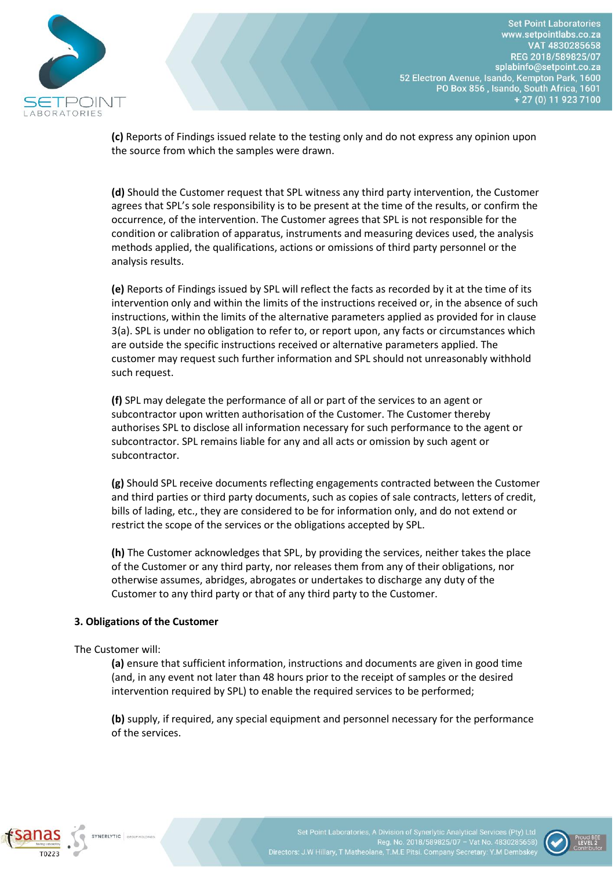

**Set Point Laboratories** www.setpointlabs.co.za VAT 4830285658 REG 2018/589825/07 splabinfo@setpoint.co.za 52 Electron Avenue, Isando, Kempton Park, 1600 PO Box 856, Isando, South Africa, 1601 + 27 (0) 11 923 7100

**(c)** Reports of Findings issued relate to the testing only and do not express any opinion upon the source from which the samples were drawn.

**(d)** Should the Customer request that SPL witness any third party intervention, the Customer agrees that SPL's sole responsibility is to be present at the time of the results, or confirm the occurrence, of the intervention. The Customer agrees that SPL is not responsible for the condition or calibration of apparatus, instruments and measuring devices used, the analysis methods applied, the qualifications, actions or omissions of third party personnel or the analysis results.

**(e)** Reports of Findings issued by SPL will reflect the facts as recorded by it at the time of its intervention only and within the limits of the instructions received or, in the absence of such instructions, within the limits of the alternative parameters applied as provided for in clause 3(a). SPL is under no obligation to refer to, or report upon, any facts or circumstances which are outside the specific instructions received or alternative parameters applied. The customer may request such further information and SPL should not unreasonably withhold such request.

**(f)** SPL may delegate the performance of all or part of the services to an agent or subcontractor upon written authorisation of the Customer. The Customer thereby authorises SPL to disclose all information necessary for such performance to the agent or subcontractor. SPL remains liable for any and all acts or omission by such agent or subcontractor.

**(g)** Should SPL receive documents reflecting engagements contracted between the Customer and third parties or third party documents, such as copies of sale contracts, letters of credit, bills of lading, etc., they are considered to be for information only, and do not extend or restrict the scope of the services or the obligations accepted by SPL.

**(h)** The Customer acknowledges that SPL, by providing the services, neither takes the place of the Customer or any third party, nor releases them from any of their obligations, nor otherwise assumes, abridges, abrogates or undertakes to discharge any duty of the Customer to any third party or that of any third party to the Customer.

# **3. Obligations of the Customer**

The Customer will:

**(a)** ensure that sufficient information, instructions and documents are given in good time (and, in any event not later than 48 hours prior to the receipt of samples or the desired intervention required by SPL) to enable the required services to be performed;

**(b)** supply, if required, any special equipment and personnel necessary for the performance of the services.



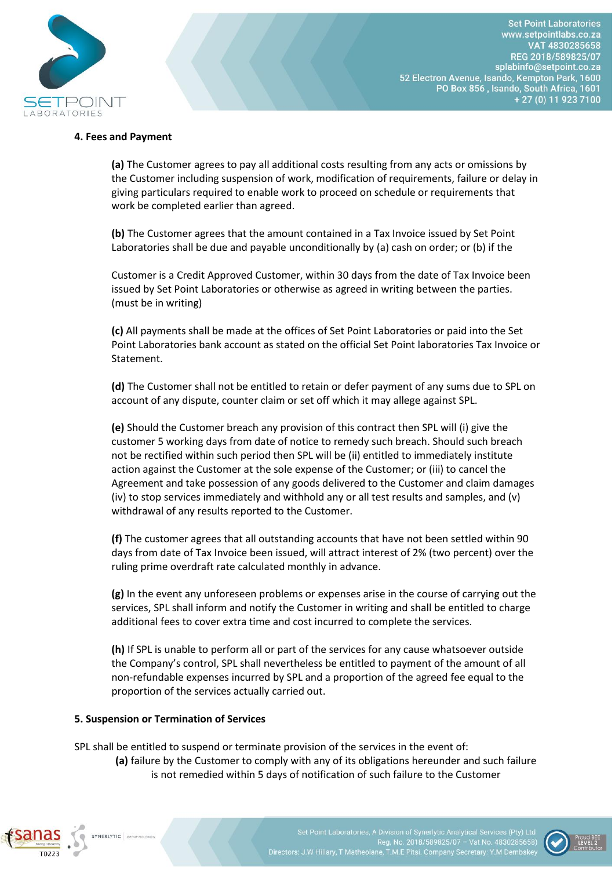

**Set Point Laboratories** www.setpointlabs.co.za VAT 4830285658 REG 2018/589825/07 splabinfo@setpoint.co.za 52 Electron Avenue, Isando, Kempton Park, 1600 PO Box 856, Isando, South Africa, 1601 + 27 (0) 11 923 7100

### **4. Fees and Payment**

**(a)** The Customer agrees to pay all additional costs resulting from any acts or omissions by the Customer including suspension of work, modification of requirements, failure or delay in giving particulars required to enable work to proceed on schedule or requirements that work be completed earlier than agreed.

**(b)** The Customer agrees that the amount contained in a Tax Invoice issued by Set Point Laboratories shall be due and payable unconditionally by (a) cash on order; or (b) if the

Customer is a Credit Approved Customer, within 30 days from the date of Tax Invoice been issued by Set Point Laboratories or otherwise as agreed in writing between the parties. (must be in writing)

**(c)** All payments shall be made at the offices of Set Point Laboratories or paid into the Set Point Laboratories bank account as stated on the official Set Point laboratories Tax Invoice or Statement.

**(d)** The Customer shall not be entitled to retain or defer payment of any sums due to SPL on account of any dispute, counter claim or set off which it may allege against SPL.

**(e)** Should the Customer breach any provision of this contract then SPL will (i) give the customer 5 working days from date of notice to remedy such breach. Should such breach not be rectified within such period then SPL will be (ii) entitled to immediately institute action against the Customer at the sole expense of the Customer; or (iii) to cancel the Agreement and take possession of any goods delivered to the Customer and claim damages (iv) to stop services immediately and withhold any or all test results and samples, and (v) withdrawal of any results reported to the Customer.

**(f)** The customer agrees that all outstanding accounts that have not been settled within 90 days from date of Tax Invoice been issued, will attract interest of 2% (two percent) over the ruling prime overdraft rate calculated monthly in advance.

**(g)** In the event any unforeseen problems or expenses arise in the course of carrying out the services, SPL shall inform and notify the Customer in writing and shall be entitled to charge additional fees to cover extra time and cost incurred to complete the services.

**(h)** If SPL is unable to perform all or part of the services for any cause whatsoever outside the Company's control, SPL shall nevertheless be entitled to payment of the amount of all non-refundable expenses incurred by SPL and a proportion of the agreed fee equal to the proportion of the services actually carried out.

#### **5. Suspension or Termination of Services**

SPL shall be entitled to suspend or terminate provision of the services in the event of:

**(a)** failure by the Customer to comply with any of its obligations hereunder and such failure is not remedied within 5 days of notification of such failure to the Customer



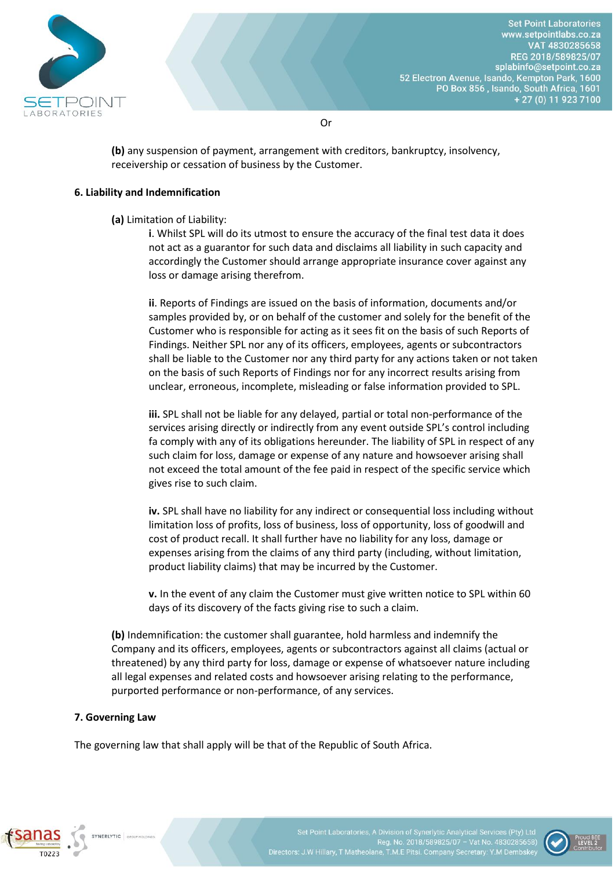

Or

**(b)** any suspension of payment, arrangement with creditors, bankruptcy, insolvency, receivership or cessation of business by the Customer.

### **6. Liability and Indemnification**

**(a)** Limitation of Liability:

**i**. Whilst SPL will do its utmost to ensure the accuracy of the final test data it does not act as a guarantor for such data and disclaims all liability in such capacity and accordingly the Customer should arrange appropriate insurance cover against any loss or damage arising therefrom.

**ii**. Reports of Findings are issued on the basis of information, documents and/or samples provided by, or on behalf of the customer and solely for the benefit of the Customer who is responsible for acting as it sees fit on the basis of such Reports of Findings. Neither SPL nor any of its officers, employees, agents or subcontractors shall be liable to the Customer nor any third party for any actions taken or not taken on the basis of such Reports of Findings nor for any incorrect results arising from unclear, erroneous, incomplete, misleading or false information provided to SPL.

**iii.** SPL shall not be liable for any delayed, partial or total non-performance of the services arising directly or indirectly from any event outside SPL's control including fa comply with any of its obligations hereunder. The liability of SPL in respect of any such claim for loss, damage or expense of any nature and howsoever arising shall not exceed the total amount of the fee paid in respect of the specific service which gives rise to such claim.

**iv.** SPL shall have no liability for any indirect or consequential loss including without limitation loss of profits, loss of business, loss of opportunity, loss of goodwill and cost of product recall. It shall further have no liability for any loss, damage or expenses arising from the claims of any third party (including, without limitation, product liability claims) that may be incurred by the Customer.

**v.** In the event of any claim the Customer must give written notice to SPL within 60 days of its discovery of the facts giving rise to such a claim.

**(b)** Indemnification: the customer shall guarantee, hold harmless and indemnify the Company and its officers, employees, agents or subcontractors against all claims (actual or threatened) by any third party for loss, damage or expense of whatsoever nature including all legal expenses and related costs and howsoever arising relating to the performance, purported performance or non-performance, of any services.

# **7. Governing Law**

The governing law that shall apply will be that of the Republic of South Africa.